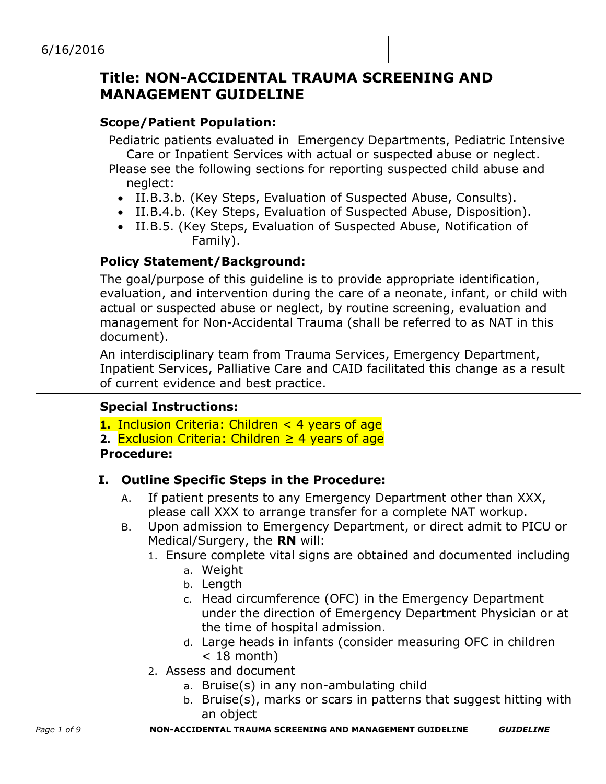| 6/16/2016   |                                                                                                                                                                                                                                                                                                                                                                                                                                                                                                                                                                                         |                                                                                                                                                                                                                                                                                                                                                                                                                                                                                                                                                                                                                                                                                                                                                                                                                       |
|-------------|-----------------------------------------------------------------------------------------------------------------------------------------------------------------------------------------------------------------------------------------------------------------------------------------------------------------------------------------------------------------------------------------------------------------------------------------------------------------------------------------------------------------------------------------------------------------------------------------|-----------------------------------------------------------------------------------------------------------------------------------------------------------------------------------------------------------------------------------------------------------------------------------------------------------------------------------------------------------------------------------------------------------------------------------------------------------------------------------------------------------------------------------------------------------------------------------------------------------------------------------------------------------------------------------------------------------------------------------------------------------------------------------------------------------------------|
|             |                                                                                                                                                                                                                                                                                                                                                                                                                                                                                                                                                                                         | Title: NON-ACCIDENTAL TRAUMA SCREENING AND<br><b>MANAGEMENT GUIDELINE</b>                                                                                                                                                                                                                                                                                                                                                                                                                                                                                                                                                                                                                                                                                                                                             |
|             |                                                                                                                                                                                                                                                                                                                                                                                                                                                                                                                                                                                         | <b>Scope/Patient Population:</b><br>Pediatric patients evaluated in Emergency Departments, Pediatric Intensive<br>Care or Inpatient Services with actual or suspected abuse or neglect.<br>Please see the following sections for reporting suspected child abuse and<br>neglect:<br>• II.B.3.b. (Key Steps, Evaluation of Suspected Abuse, Consults).<br>• II.B.4.b. (Key Steps, Evaluation of Suspected Abuse, Disposition).<br>• II.B.5. (Key Steps, Evaluation of Suspected Abuse, Notification of<br>Family).                                                                                                                                                                                                                                                                                                     |
|             | <b>Policy Statement/Background:</b><br>The goal/purpose of this guideline is to provide appropriate identification,<br>evaluation, and intervention during the care of a neonate, infant, or child with<br>actual or suspected abuse or neglect, by routine screening, evaluation and<br>management for Non-Accidental Trauma (shall be referred to as NAT in this<br>document).<br>An interdisciplinary team from Trauma Services, Emergency Department,<br>Inpatient Services, Palliative Care and CAID facilitated this change as a result<br>of current evidence and best practice. |                                                                                                                                                                                                                                                                                                                                                                                                                                                                                                                                                                                                                                                                                                                                                                                                                       |
|             |                                                                                                                                                                                                                                                                                                                                                                                                                                                                                                                                                                                         | <b>Special Instructions:</b><br><b>1.</b> Inclusion Criteria: Children $\lt$ 4 years of age<br>2. Exclusion Criteria: Children $\geq$ 4 years of age                                                                                                                                                                                                                                                                                                                                                                                                                                                                                                                                                                                                                                                                  |
|             |                                                                                                                                                                                                                                                                                                                                                                                                                                                                                                                                                                                         | <b>Procedure:</b><br>I. Outline Specific Steps in the Procedure:<br>If patient presents to any Emergency Department other than XXX,<br>А.<br>please call XXX to arrange transfer for a complete NAT workup.<br>Upon admission to Emergency Department, or direct admit to PICU or<br>В.<br>Medical/Surgery, the RN will:<br>1. Ensure complete vital signs are obtained and documented including<br>a. Weight<br>b. Length<br>c. Head circumference (OFC) in the Emergency Department<br>under the direction of Emergency Department Physician or at<br>the time of hospital admission.<br>d. Large heads in infants (consider measuring OFC in children<br>$<$ 18 month)<br>2. Assess and document<br>a. Bruise(s) in any non-ambulating child<br>b. Bruise(s), marks or scars in patterns that suggest hitting with |
| Page 1 of 9 |                                                                                                                                                                                                                                                                                                                                                                                                                                                                                                                                                                                         | an object<br>NON-ACCIDENTAL TRAUMA SCREENING AND MANAGEMENT GUIDELINE<br><b>GUIDELINE</b>                                                                                                                                                                                                                                                                                                                                                                                                                                                                                                                                                                                                                                                                                                                             |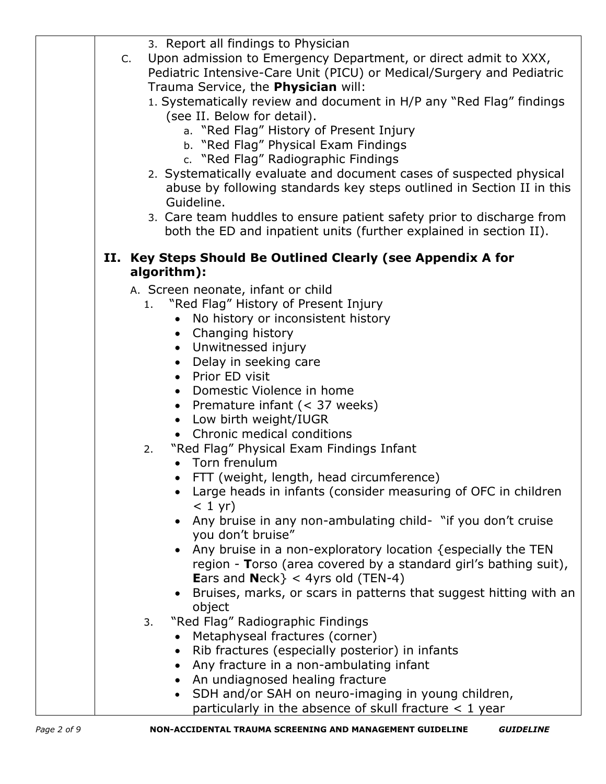| 3. Report all findings to Physician                                                 |
|-------------------------------------------------------------------------------------|
| Upon admission to Emergency Department, or direct admit to XXX,<br>C.               |
| Pediatric Intensive-Care Unit (PICU) or Medical/Surgery and Pediatric               |
| Trauma Service, the Physician will:                                                 |
| 1. Systematically review and document in H/P any "Red Flag" findings                |
| (see II. Below for detail).                                                         |
| a. "Red Flag" History of Present Injury                                             |
| b. "Red Flag" Physical Exam Findings                                                |
| c. "Red Flag" Radiographic Findings                                                 |
| 2. Systematically evaluate and document cases of suspected physical                 |
| abuse by following standards key steps outlined in Section II in this<br>Guideline. |
| 3. Care team huddles to ensure patient safety prior to discharge from               |
| both the ED and inpatient units (further explained in section II).                  |
|                                                                                     |
| II. Key Steps Should Be Outlined Clearly (see Appendix A for                        |
| algorithm):                                                                         |
| A. Screen neonate, infant or child                                                  |
| "Red Flag" History of Present Injury<br>1.                                          |
| No history or inconsistent history<br>$\bullet$                                     |
| • Changing history                                                                  |
| • Unwitnessed injury                                                                |
| • Delay in seeking care                                                             |
| • Prior ED visit                                                                    |
| • Domestic Violence in home                                                         |
| • Premature infant $(< 37$ weeks)                                                   |
| • Low birth weight/IUGR<br>• Chronic medical conditions                             |
| 2.                                                                                  |
| "Red Flag" Physical Exam Findings Infant<br>• Torn frenulum                         |
| FTT (weight, length, head circumference)                                            |
| Large heads in infants (consider measuring of OFC in children                       |
| $< 1$ yr)                                                                           |
| • Any bruise in any non-ambulating child- "if you don't cruise                      |
| you don't bruise"                                                                   |
| Any bruise in a non-exploratory location {especially the TEN                        |
| region - Torso (area covered by a standard girl's bathing suit),                    |
| <b>Ears and Neck</b> $} < 4$ yrs old (TEN-4)                                        |
| Bruises, marks, or scars in patterns that suggest hitting with an                   |
| object                                                                              |
| "Red Flag" Radiographic Findings<br>3.                                              |
| Metaphyseal fractures (corner)                                                      |
| Rib fractures (especially posterior) in infants                                     |
| Any fracture in a non-ambulating infant                                             |
| • An undiagnosed healing fracture                                                   |
| SDH and/or SAH on neuro-imaging in young children,                                  |
| particularly in the absence of skull fracture < 1 year                              |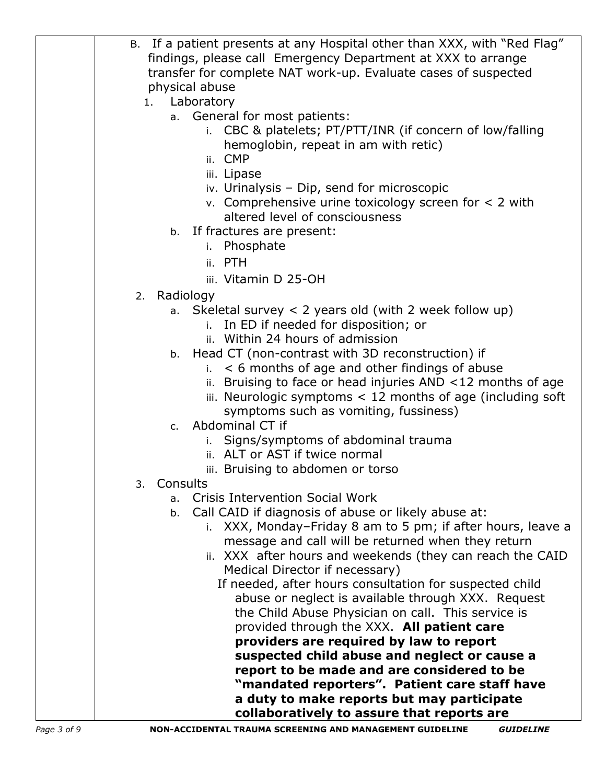| General for most patients:<br>a.<br>i. CBC & platelets; PT/PTT/INR (if concern of low/falling                   |
|-----------------------------------------------------------------------------------------------------------------|
| hemoglobin, repeat in am with retic)<br>ii. CMP                                                                 |
| iii. Lipase                                                                                                     |
| iv. Urinalysis - Dip, send for microscopic                                                                      |
| v. Comprehensive urine toxicology screen for $<$ 2 with                                                         |
| altered level of consciousness<br>b. If fractures are present:                                                  |
| Phosphate<br>i.                                                                                                 |
| ii. PTH                                                                                                         |
| iii. Vitamin D 25-OH                                                                                            |
| Radiology<br>2.                                                                                                 |
| Skeletal survey $\langle 2 \rangle$ years old (with 2 week follow up)<br>a.                                     |
| i. In ED if needed for disposition; or<br>ii. Within 24 hours of admission                                      |
| b. Head CT (non-contrast with 3D reconstruction) if                                                             |
| < 6 months of age and other findings of abuse<br>i.                                                             |
| Bruising to face or head injuries AND <12 months of age<br>ii.                                                  |
| iii. Neurologic symptoms $<$ 12 months of age (including soft<br>symptoms such as vomiting, fussiness)          |
| Abdominal CT if<br>C <sub>1</sub>                                                                               |
| Signs/symptoms of abdominal trauma<br>i.                                                                        |
| ii. ALT or AST if twice normal                                                                                  |
| iii. Bruising to abdomen or torso<br>3.<br>Consults                                                             |
| <b>Crisis Intervention Social Work</b><br>a <sub>1</sub>                                                        |
| Call CAID if diagnosis of abuse or likely abuse at:<br>b.                                                       |
| XXX, Monday-Friday 8 am to 5 pm; if after hours, leave a                                                        |
| message and call will be returned when they return<br>ii. XXX after hours and weekends (they can reach the CAID |
| Medical Director if necessary)                                                                                  |
| If needed, after hours consultation for suspected child                                                         |
| abuse or neglect is available through XXX. Request                                                              |
| the Child Abuse Physician on call. This service is<br>provided through the XXX. All patient care                |
| providers are required by law to report                                                                         |
| suspected child abuse and neglect or cause a                                                                    |
| report to be made and are considered to be                                                                      |
| "mandated reporters". Patient care staff have<br>a duty to make reports but may participate                     |
| collaboratively to assure that reports are                                                                      |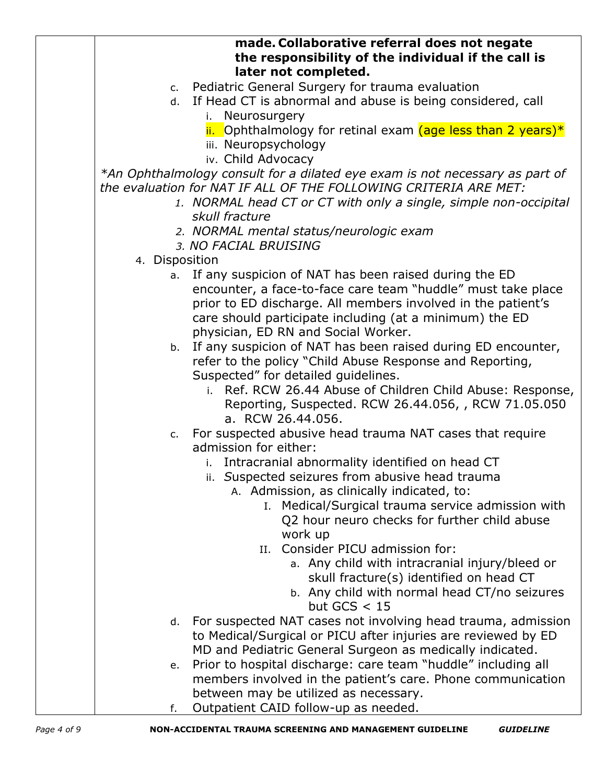|                | made. Collaborative referral does not negate<br>the responsibility of the individual if the call is<br>later not completed. |
|----------------|-----------------------------------------------------------------------------------------------------------------------------|
|                | c. Pediatric General Surgery for trauma evaluation                                                                          |
| d.             | If Head CT is abnormal and abuse is being considered, call                                                                  |
|                | Neurosurgery<br>i.                                                                                                          |
|                | ii. Ophthalmology for retinal exam (age less than 2 years)*                                                                 |
|                | iii. Neuropsychology                                                                                                        |
|                | iv. Child Advocacy                                                                                                          |
|                | *An Ophthalmology consult for a dilated eye exam is not necessary as part of                                                |
|                | the evaluation for NAT IF ALL OF THE FOLLOWING CRITERIA ARE MET:                                                            |
|                | 1. NORMAL head CT or CT with only a single, simple non-occipital                                                            |
|                | skull fracture                                                                                                              |
|                | 2. NORMAL mental status/neurologic exam                                                                                     |
|                | 3. NO FACIAL BRUISING                                                                                                       |
| 4. Disposition |                                                                                                                             |
|                | a. If any suspicion of NAT has been raised during the ED                                                                    |
|                | encounter, a face-to-face care team "huddle" must take place                                                                |
|                | prior to ED discharge. All members involved in the patient's                                                                |
|                | care should participate including (at a minimum) the ED                                                                     |
|                | physician, ED RN and Social Worker.                                                                                         |
|                | b. If any suspicion of NAT has been raised during ED encounter,                                                             |
|                | refer to the policy "Child Abuse Response and Reporting,                                                                    |
|                | Suspected" for detailed guidelines.                                                                                         |
|                | i. Ref. RCW 26.44 Abuse of Children Child Abuse: Response,                                                                  |
|                | Reporting, Suspected. RCW 26.44.056, , RCW 71.05.050                                                                        |
|                | a. RCW 26.44.056.                                                                                                           |
|                | c. For suspected abusive head trauma NAT cases that require                                                                 |
|                | admission for either:                                                                                                       |
|                | i. Intracranial abnormality identified on head CT                                                                           |
|                | ii. Suspected seizures from abusive head trauma                                                                             |
|                | A. Admission, as clinically indicated, to:                                                                                  |
|                | I. Medical/Surgical trauma service admission with                                                                           |
|                | Q2 hour neuro checks for further child abuse                                                                                |
|                | work up                                                                                                                     |
|                | Consider PICU admission for:<br>II.                                                                                         |
|                | a. Any child with intracranial injury/bleed or                                                                              |
|                | skull fracture(s) identified on head CT                                                                                     |
|                | b. Any child with normal head CT/no seizures                                                                                |
|                | but GCS $<$ 15                                                                                                              |
| d.             | For suspected NAT cases not involving head trauma, admission                                                                |
|                | to Medical/Surgical or PICU after injuries are reviewed by ED                                                               |
|                | MD and Pediatric General Surgeon as medically indicated.                                                                    |
| е.             | Prior to hospital discharge: care team "huddle" including all                                                               |
|                | members involved in the patient's care. Phone communication                                                                 |
|                | between may be utilized as necessary.                                                                                       |
| f.             | Outpatient CAID follow-up as needed.                                                                                        |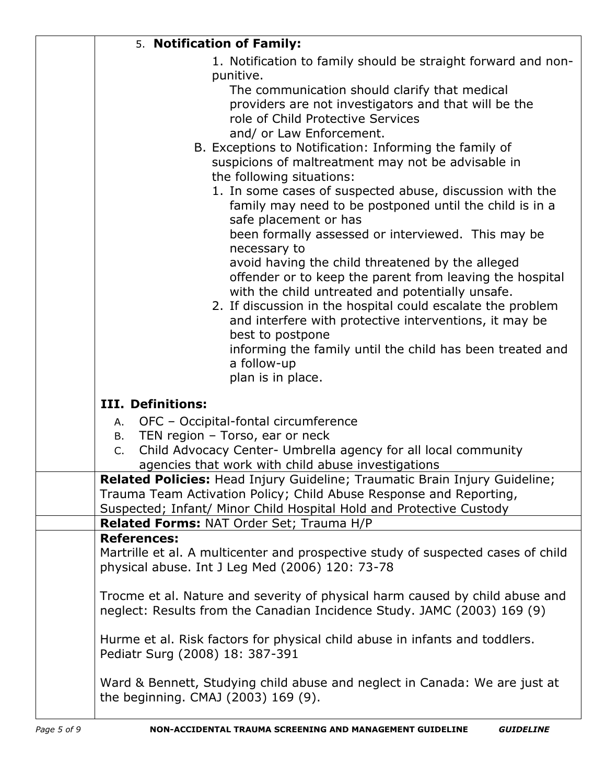| 5. Notification of Family:                                                                                                                                                                                                      |
|---------------------------------------------------------------------------------------------------------------------------------------------------------------------------------------------------------------------------------|
| 1. Notification to family should be straight forward and non-<br>punitive.                                                                                                                                                      |
| The communication should clarify that medical<br>providers are not investigators and that will be the<br>role of Child Protective Services<br>and/ or Law Enforcement.                                                          |
| B. Exceptions to Notification: Informing the family of                                                                                                                                                                          |
| suspicions of maltreatment may not be advisable in<br>the following situations:                                                                                                                                                 |
| 1. In some cases of suspected abuse, discussion with the<br>family may need to be postponed until the child is in a<br>safe placement or has                                                                                    |
| been formally assessed or interviewed. This may be<br>necessary to                                                                                                                                                              |
| avoid having the child threatened by the alleged<br>offender or to keep the parent from leaving the hospital<br>with the child untreated and potentially unsafe.<br>2. If discussion in the hospital could escalate the problem |
| and interfere with protective interventions, it may be<br>best to postpone                                                                                                                                                      |
| informing the family until the child has been treated and<br>a follow-up<br>plan is in place.                                                                                                                                   |
| III. Definitions:                                                                                                                                                                                                               |
| OFC - Occipital-fontal circumference<br>А.<br>TEN region - Torso, ear or neck<br>B.                                                                                                                                             |
| Child Advocacy Center- Umbrella agency for all local community<br>C.<br>agencies that work with child abuse investigations                                                                                                      |
| Related Policies: Head Injury Guideline; Traumatic Brain Injury Guideline;<br>Trauma Team Activation Policy; Child Abuse Response and Reporting,<br>Suspected; Infant/ Minor Child Hospital Hold and Protective Custody         |
| Related Forms: NAT Order Set; Trauma H/P                                                                                                                                                                                        |
| <b>References:</b><br>Martrille et al. A multicenter and prospective study of suspected cases of child<br>physical abuse. Int J Leg Med (2006) 120: 73-78                                                                       |
| Trocme et al. Nature and severity of physical harm caused by child abuse and<br>neglect: Results from the Canadian Incidence Study. JAMC (2003) 169 (9)                                                                         |
| Hurme et al. Risk factors for physical child abuse in infants and toddlers.<br>Pediatr Surg (2008) 18: 387-391                                                                                                                  |
| Ward & Bennett, Studying child abuse and neglect in Canada: We are just at<br>the beginning. CMAJ (2003) 169 (9).                                                                                                               |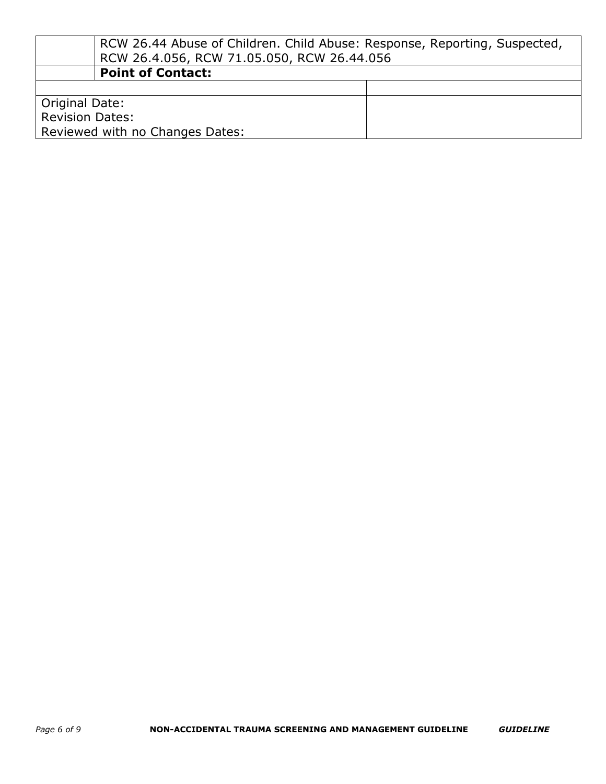|                                 | RCW 26.44 Abuse of Children. Child Abuse: Response, Reporting, Suspected, |  |
|---------------------------------|---------------------------------------------------------------------------|--|
|                                 | RCW 26.4.056, RCW 71.05.050, RCW 26.44.056                                |  |
|                                 | <b>Point of Contact:</b>                                                  |  |
|                                 |                                                                           |  |
| Original Date:                  |                                                                           |  |
| <b>Revision Dates:</b>          |                                                                           |  |
| Reviewed with no Changes Dates: |                                                                           |  |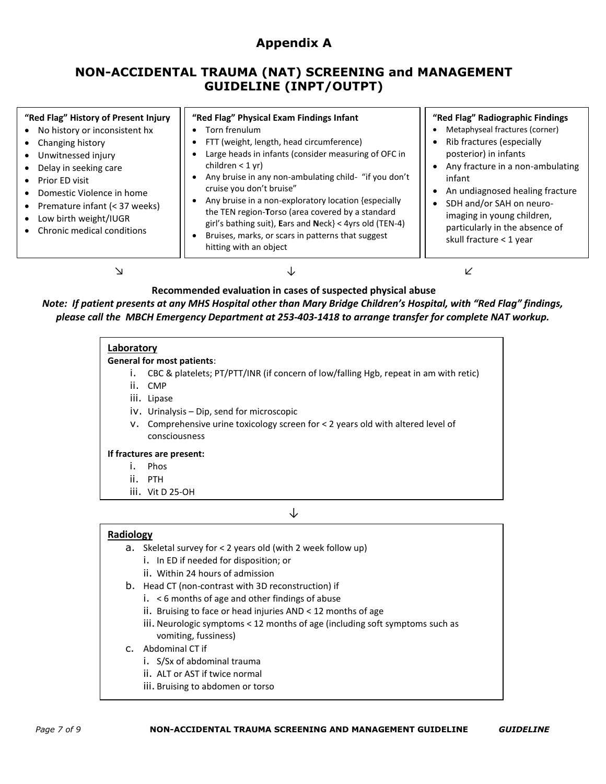# **Appendix A**

# **NON-ACCIDENTAL TRAUMA (NAT) SCREENING and MANAGEMENT GUIDELINE (INPT/OUTPT)**

| "Red Flag" History of Present Injury<br>No history or inconsistent hx<br>Changing history<br>Unwitnessed injury<br>Delay in seeking care<br>Prior ED visit | "Red Flag" Physical Exam Findings Infant<br>Torn frenulum<br>Rib fractures (especially<br>FTT (weight, length, head circumference)<br>Large heads in infants (consider measuring of OFC in<br>posterior) in infants<br>children $<$ 1 yr)<br>Any bruise in any non-ambulating child- "if you don't<br>infant<br>cruise you don't bruise"<br>An undiagnosed healing fracture<br>Any bruise in a non-exploratory location {especially<br>the TEN region-Torso (area covered by a standard<br>girl's bathing suit), Ears and Neck $} < 4$ yrs old (TEN-4)<br>Bruises, marks, or scars in patterns that suggest<br>skull fracture < 1 year<br>hitting with an object | "Red Flag" Radiographic Findings<br>Metaphyseal fractures (corner)<br>Any fracture in a non-ambulating |
|------------------------------------------------------------------------------------------------------------------------------------------------------------|------------------------------------------------------------------------------------------------------------------------------------------------------------------------------------------------------------------------------------------------------------------------------------------------------------------------------------------------------------------------------------------------------------------------------------------------------------------------------------------------------------------------------------------------------------------------------------------------------------------------------------------------------------------|--------------------------------------------------------------------------------------------------------|
| Premature infant (< 37 weeks)<br>Low birth weight/IUGR<br>Chronic medical conditions                                                                       |                                                                                                                                                                                                                                                                                                                                                                                                                                                                                                                                                                                                                                                                  | SDH and/or SAH on neuro-<br>imaging in young children,<br>particularly in the absence of               |

### **Recommended evaluation in cases of suspected physical abuse**

*Note: If patient presents at any MHS Hospital other than Mary Bridge Children's Hospital, with "Red Flag" findings, please call the MBCH Emergency Department at 253-403-1418 to arrange transfer for complete NAT workup.*

## **Laboratory**

#### **General for most patients**:

- i. CBC & platelets; PT/PTT/INR (if concern of low/falling Hgb, repeat in am with retic)
- ii. CMP
- iii. Lipase
- iv. Urinalysis Dip, send for microscopic
- v. Comprehensive urine toxicology screen for < 2 years old with altered level of consciousness

#### **If fractures are present:**

- i. Phos
- ii. PTH
- iii. Vit D 25-OH

#### ↓

#### **Radiology**

- a. Skeletal survey for < 2 years old (with 2 week follow up)
	- i. In ED if needed for disposition; or
	- ii. Within 24 hours of admission
	- ↓ b. Head CT (non-contrast with 3D reconstruction) if
		- i. < 6 months of age and other findings of abuse
		- ii. Bruising to face or head injuries AND < 12 months of age
		- iii. Neurologic symptoms < 12 months of age (including soft symptoms such as vomiting, fussiness)

#### c. Abdominal CT if

- i. S/Sx of abdominal trauma
- ii. ALT or AST if twice normal
- iii. Bruising to abdomen or torso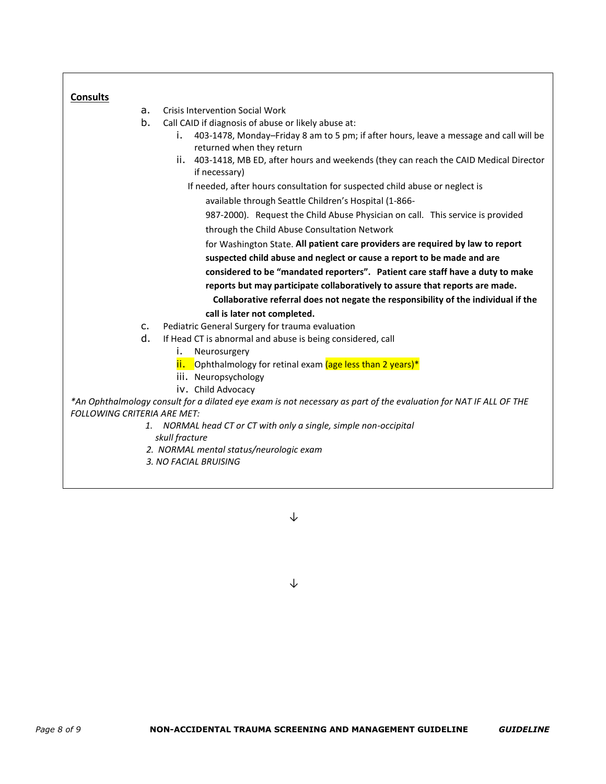| <b>Consults</b>                    |                                                                                                                           |
|------------------------------------|---------------------------------------------------------------------------------------------------------------------------|
| a.                                 | <b>Crisis Intervention Social Work</b>                                                                                    |
| b.                                 | Call CAID if diagnosis of abuse or likely abuse at:                                                                       |
|                                    | 403-1478, Monday-Friday 8 am to 5 pm; if after hours, leave a message and call will be<br>i.<br>returned when they return |
|                                    | ii. 403-1418, MB ED, after hours and weekends (they can reach the CAID Medical Director<br>if necessary)                  |
|                                    | If needed, after hours consultation for suspected child abuse or neglect is                                               |
|                                    | available through Seattle Children's Hospital (1-866-                                                                     |
|                                    | 987-2000). Request the Child Abuse Physician on call. This service is provided                                            |
|                                    | through the Child Abuse Consultation Network                                                                              |
|                                    | for Washington State. All patient care providers are required by law to report                                            |
|                                    | suspected child abuse and neglect or cause a report to be made and are                                                    |
|                                    | considered to be "mandated reporters". Patient care staff have a duty to make                                             |
|                                    | reports but may participate collaboratively to assure that reports are made.                                              |
|                                    | Collaborative referral does not negate the responsibility of the individual if the                                        |
|                                    | call is later not completed.                                                                                              |
| $C_{1}$                            | Pediatric General Surgery for trauma evaluation                                                                           |
| d.                                 | If Head CT is abnormal and abuse is being considered, call                                                                |
|                                    | i.<br>Neurosurgery                                                                                                        |
|                                    | ii. Ophthalmology for retinal exam (age less than 2 years)*                                                               |
|                                    | iii. Neuropsychology                                                                                                      |
|                                    | iv. Child Advocacy                                                                                                        |
| <b>FOLLOWING CRITERIA ARE MET:</b> | *An Ophthalmology consult for a dilated eye exam is not necessary as part of the evaluation for NAT IF ALL OF THE         |
|                                    | 1. NORMAL head CT or CT with only a single, simple non-occipital                                                          |
|                                    | skull fracture                                                                                                            |
|                                    | 2. NORMAL mental status/neurologic exam                                                                                   |
|                                    | 3. NO FACIAL BRUISING                                                                                                     |
|                                    |                                                                                                                           |

⅂

↓

<u> 1989 - Andrea Station Barbara, actor a component de la componentación de la componentación de la componentaci</u>

↓

 $\lceil$